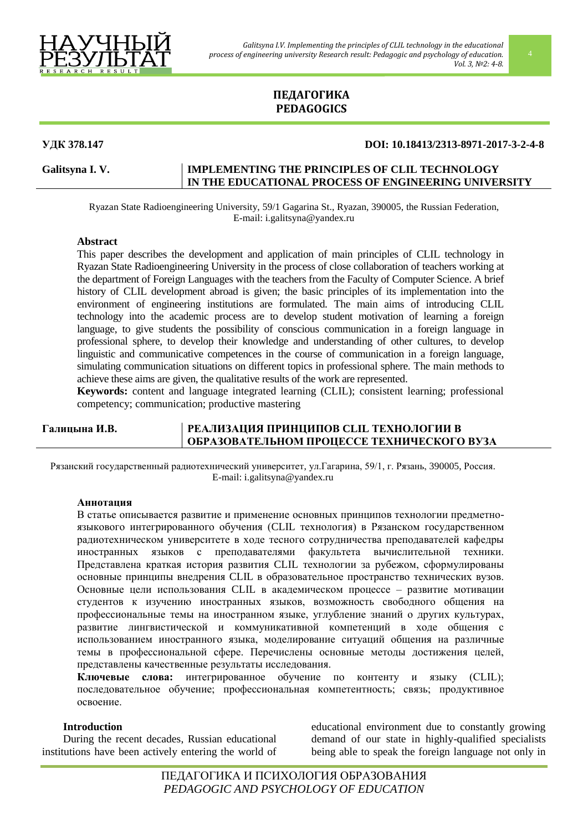

# **ПЕДАГОГИКА PEDAGOGICS**

# **УДК 378.147 DOI: 10.18413/2313-8971-2017-3-2-4-8**

## Galitsyna I.V. **IMPLEMENTING THE PRINCIPLES OF CLIL TECHNOLOGY IN THE EDUCATIONAL PROCESS OF ENGINEERING UNIVERSITY**

Ryazan State Radioengineering University, 59/1 Gagarina St., Ryazan, 390005, the Russian Federation, E-mail: i.galitsyna@yandex.ru

## **Abstract**

This paper describes the development and application of main principles of CLIL technology in Ryazan State Radioengineering University in the process of close collaboration of teachers working at the department of Foreign Languages with the teachers from the Faculty of Computer Science. A brief history of CLIL development abroad is given; the basic principles of its implementation into the environment of engineering institutions are formulated. The main aims of introducing CLIL technology into the academic process are to develop student motivation of learning a foreign language, to give students the possibility of conscious communication in a foreign language in professional sphere, to develop their knowledge and understanding of other cultures, to develop linguistic and communicative competences in the course of communication in a foreign language, simulating communication situations on different topics in professional sphere. The main methods to achieve these aims are given, the qualitative results of the work are represented.

**Keywords:** content and language integrated learning (CLIL); consistent learning; professional competency; communication; productive mastering

# **Галицына И.В. РЕАЛИЗАЦИЯ ПРИНЦИПОВ CLIL ТЕХНОЛОГИИ В ОБРАЗОВАТЕЛЬНОМ ПРОЦЕССЕ ТЕХНИЧЕСКОГО ВУЗА**

Рязанский государственный радиотехнический университет, ул.Гагарина, 59/1, г. Рязань, 390005, Россия. E-mail: i.galitsyna@yandex.ru

## **Аннотация**

В статье описывается развитие и применение основных принципов технологии предметноязыкового интегрированного обучения (CLIL технология) в Рязанском государственном радиотехническом университете в ходе тесного сотрудничества преподавателей кафедры иностранных языков с преподавателями факультета вычислительной техники. Представлена краткая история развития CLIL технологии за рубежом, сформулированы основные принципы внедрения CLIL в образовательное пространство технических вузов. Основные цели использования CLIL в академическом процессе – развитие мотивации студентов к изучению иностранных языков, возможность свободного общения на профессиональные темы на иностранном языке, углубление знаний о других культурах, развитие лингвистической и коммуникативной компетенций в ходе общения с использованием иностранного языка, моделирование ситуаций общения на различные темы в профессиональной сфере. Перечислены основные методы достижения целей, представлены качественные результаты исследования.

**Ключевые слова:** интегрированное обучение по контенту и языку (CLIL); последовательное обучение; профессиональная компетентность; связь; продуктивное освоение.

### **Introduction**

During the recent decades, Russian educational institutions have been actively entering the world of

educational environment due to constantly growing demand of our state in highly-qualified specialists being able to speak the foreign language not only in

ПЕДАГОГИКА И ПСИХОЛОГИЯ ОБРАЗОВАНИЯ *PEDAGOGIC AND PSYCHOLOGY OF EDUCATION*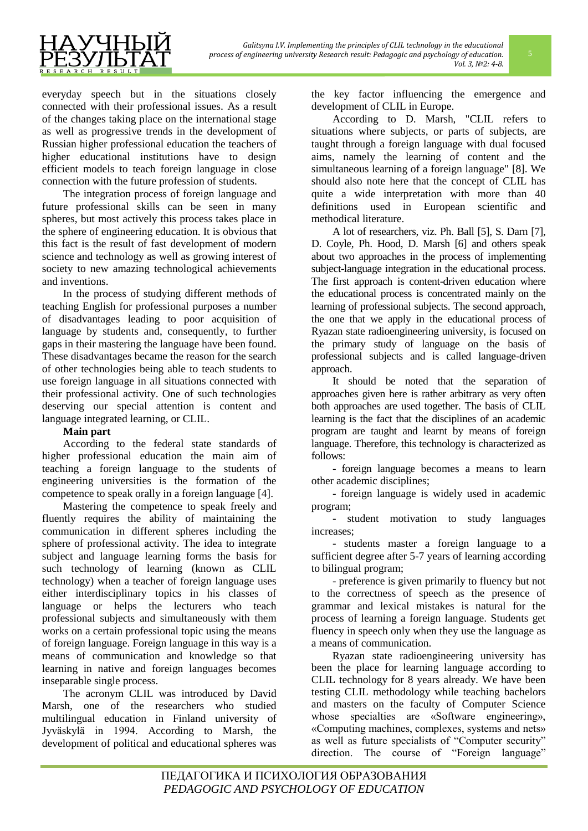



everyday speech but in the situations closely connected with their professional issues. As a result of the changes taking place on the international stage as well as progressive trends in the development of Russian higher professional education the teachers of higher educational institutions have to design efficient models to teach foreign language in close connection with the future profession of students.

The integration process of foreign language and future professional skills can be seen in many spheres, but most actively this process takes place in the sphere of engineering education. It is obvious that this fact is the result of fast development of modern science and technology as well as growing interest of society to new amazing technological achievements and inventions.

In the process of studying different methods of teaching English for professional purposes a number of disadvantages leading to poor acquisition of language by students and, consequently, to further gaps in their mastering the language have been found. These disadvantages became the reason for the search of other technologies being able to teach students to use foreign language in all situations connected with their professional activity. One of such technologies deserving our special attention is content and language integrated learning, or CLIL.

## **Main part**

According to the federal state standards of higher professional education the main aim of teaching a foreign language to the students of engineering universities is the formation of the competence to speak orally in a foreign language [4].

Mastering the competence to speak freely and fluently requires the ability of maintaining the communication in different spheres including the sphere of professional activity. The idea to integrate subject and language learning forms the basis for such technology of learning (known as CLIL technology) when a teacher of foreign language uses either interdisciplinary topics in his classes of language or helps the lecturers who teach professional subjects and simultaneously with them works on a certain professional topic using the means of foreign language. Foreign language in this way is a means of communication and knowledge so that learning in native and foreign languages becomes inseparable single process.

The acronym CLIL was introduced by David Marsh, one of the researchers who studied multilingual education in Finland university of Jyväskylä in 1994. According to Marsh, the development of political and educational spheres was

the key factor influencing the emergence and development of CLIL in Europe.

According to D. Marsh, "CLIL refers to situations where subjects, or parts of subjects, are taught through a foreign language with dual focused aims, namely the learning of content and the simultaneous learning of a foreign language" [8]. We should also note here that the concept of CLIL has quite a wide interpretation with more than 40 definitions used in European scientific and methodical literature.

A lot of researchers, viz. Ph. Ball [5], S. Darn [7], D. Coyle, Ph. Hood, D. Marsh [6] and others speak about two approaches in the process of implementing subject-language integration in the educational process. The first approach is content-driven education where the educational process is concentrated mainly on the learning of professional subjects. The second approach, the one that we apply in the educational process of Ryazan state radioengineering university, is focused on the primary study of language on the basis of professional subjects and is called language-driven approach.

It should be noted that the separation of approaches given here is rather arbitrary as very often both approaches are used together. The basis of CLIL learning is the fact that the disciplines of an academic program are taught and learnt by means of foreign language. Therefore, this technology is characterized as follows:

- foreign language becomes a means to learn other academic disciplines;

- foreign language is widely used in academic program;

- student motivation to study languages increases;

- students master a foreign language to a sufficient degree after 5-7 years of learning according to bilingual program;

- preference is given primarily to fluency but not to the correctness of speech as the presence of grammar and lexical mistakes is natural for the process of learning a foreign language. Students get fluency in speech only when they use the language as a means of communication.

Ryazan state radioengineering university has been the place for learning language according to CLIL technology for 8 years already. We have been testing CLIL methodology while teaching bachelors and masters on the faculty of Computer Science whose specialties are «Software engineering», «Computing machines, complexes, systems and nets» as well as future specialists of "Computer security" direction. The course of "Foreign language"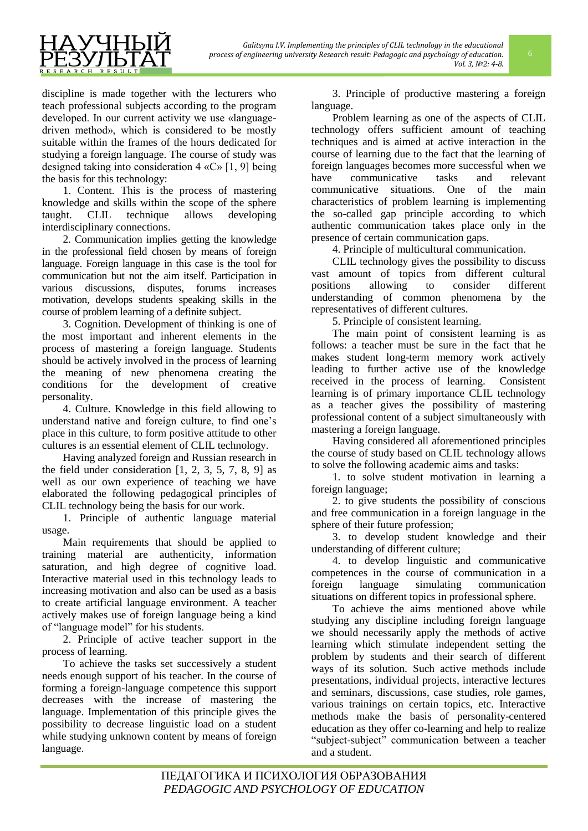

discipline is made together with the lecturers who teach professional subjects according to the program developed. In our current activity we use «languagedriven method», which is considered to be mostly suitable within the frames of the hours dedicated for studying a foreign language. The course of study was designed taking into consideration 4 «С» [1, 9] being the basis for this technology:

1. Content. This is the process of mastering knowledge and skills within the scope of the sphere taught. CLIL technique allows developing interdisciplinary connections.

2. Communication implies getting the knowledge in the professional field chosen by means of foreign language. Foreign language in this case is the tool for communication but not the aim itself. Participation in various discussions, disputes, forums increases motivation, develops students speaking skills in the course of problem learning of a definite subject.

3. Cognition. Development of thinking is one of the most important and inherent elements in the process of mastering a foreign language. Students should be actively involved in the process of learning the meaning of new phenomena creating the conditions for the development of creative personality.

4. Culture. Knowledge in this field allowing to understand native and foreign culture, to find one's place in this culture, to form positive attitude to other cultures is an essential element of CLIL technology.

Having analyzed foreign and Russian research in the field under consideration  $[1, 2, 3, 5, 7, 8, 9]$  as well as our own experience of teaching we have elaborated the following pedagogical principles of CLIL technology being the basis for our work.

1. Principle of authentic language material usage.

Main requirements that should be applied to training material are authenticity, information saturation, and high degree of cognitive load. Interactive material used in this technology leads to increasing motivation and also can be used as a basis to create artificial language environment. A teacher actively makes use of foreign language being a kind of "language model" for his students.

2. Principle of active teacher support in the process of learning.

To achieve the tasks set successively a student needs enough support of his teacher. In the course of forming a foreign-language competence this support decreases with the increase of mastering the language. Implementation of this principle gives the possibility to decrease linguistic load on a student while studying unknown content by means of foreign language.

3. Principle of productive mastering a foreign language.

Problem learning as one of the aspects of CLIL technology offers sufficient amount of teaching techniques and is aimed at active interaction in the course of learning due to the fact that the learning of foreign languages becomes more successful when we have communicative tasks and relevant communicative situations. One of the main characteristics of problem learning is implementing the so-called gap principle according to which authentic communication takes place only in the presence of certain communication gaps.

4. Principle of multicultural communication.

CLIL technology gives the possibility to discuss vast amount of topics from different cultural positions allowing to consider different understanding of common phenomena by the representatives of different cultures.

5. Principle of consistent learning.

The main point of consistent learning is as follows: a teacher must be sure in the fact that he makes student long-term memory work actively leading to further active use of the knowledge received in the process of learning. Consistent learning is of primary importance CLIL technology as a teacher gives the possibility of mastering professional content of a subject simultaneously with mastering a foreign language.

Having considered all aforementioned principles the course of study based on CLIL technology allows to solve the following academic aims and tasks:

1. to solve student motivation in learning a foreign language;

2. to give students the possibility of conscious and free communication in a foreign language in the sphere of their future profession;

3. to develop student knowledge and their understanding of different culture;

4. to develop linguistic and communicative competences in the course of communication in a foreign language simulating communication situations on different topics in professional sphere.

To achieve the aims mentioned above while studying any discipline including foreign language we should necessarily apply the methods of active learning which stimulate independent setting the problem by students and their search of different ways of its solution. Such active methods include presentations, individual projects, interactive lectures and seminars, discussions, case studies, role games, various trainings on certain topics, etc. Interactive methods make the basis of personality-centered education as they offer co-learning and help to realize "subject-subject" communication between a teacher and a student.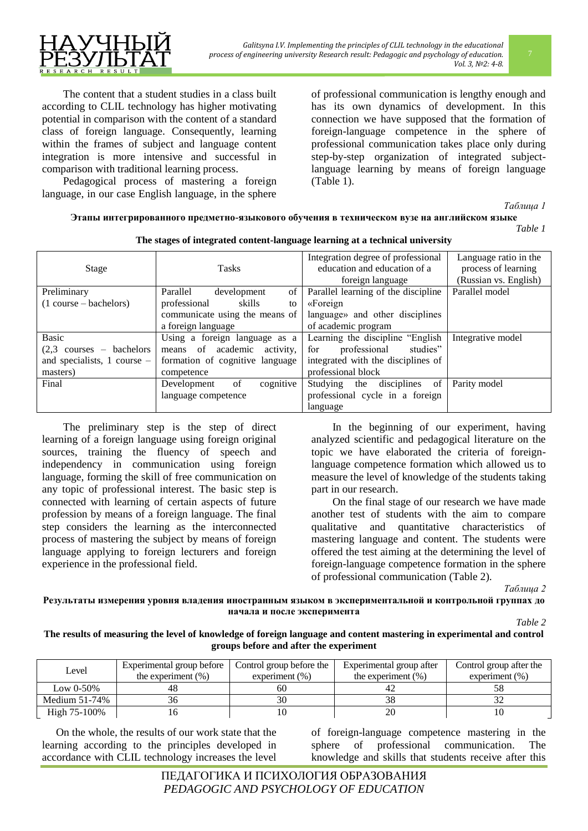The content that a student studies in a class built according to CLIL technology has higher motivating potential in comparison with the content of a standard class of foreign language. Consequently, learning within the frames of subject and language content integration is more intensive and successful in comparison with traditional learning process.

Pedagogical process of mastering a foreign language, in our case English language, in the sphere

of professional communication is lengthy enough and has its own dynamics of development. In this connection we have supposed that the formation of foreign-language competence in the sphere of professional communication takes place only during step-by-step organization of integrated subjectlanguage learning by means of foreign language (Table 1).

*Таблица 1*

## **Этапы интегрированного предметно-языкового обучения в техническом вузе на английском языке**

*Table 1*

| The stages of integrated content-language learning at a technical university |       |                                    |                       |  |  |
|------------------------------------------------------------------------------|-------|------------------------------------|-----------------------|--|--|
|                                                                              |       | Integration degree of professional | Language ratio in the |  |  |
| Stage                                                                        | Гasks | education and education of a       | process of learning   |  |  |
|                                                                              |       | foreign language                   | (Russian vs. English) |  |  |

| Stage                                      | Tasks                           | education and education of a        | process of learning   |
|--------------------------------------------|---------------------------------|-------------------------------------|-----------------------|
|                                            |                                 | foreign language                    | (Russian vs. English) |
| Preliminary                                | Parallel<br>development<br>of   | Parallel learning of the discipline | Parallel model        |
| $(1 course - bachelors)$                   | professional<br>skills<br>to    | «Foreign                            |                       |
|                                            | communicate using the means of  | language» and other disciplines     |                       |
|                                            | a foreign language              | of academic program                 |                       |
| Basic                                      | Using a foreign language as a   | Learning the discipline "English"   | Integrative model     |
| $(2,3 \text{ courses} - \text{bachelors})$ | means of academic activity,     | professional<br>for<br>studies"     |                       |
| and specialists, $1$ course $-$            | formation of cognitive language | integrated with the disciplines of  |                       |
| masters)                                   | competence                      | professional block                  |                       |
| Final                                      | cognitive<br>of<br>Development  | disciplines of<br>Studying<br>the   | Parity model          |
|                                            | language competence             | professional cycle in a foreign     |                       |
|                                            |                                 | language                            |                       |

The preliminary step is the step of direct learning of a foreign language using foreign original sources, training the fluency of speech and independency in communication using foreign language, forming the skill of free communication on any topic of professional interest. The basic step is connected with learning of certain aspects of future profession by means of a foreign language. The final step considers the learning as the interconnected process of mastering the subject by means of foreign language applying to foreign lecturers and foreign experience in the professional field.

In the beginning of our experiment, having analyzed scientific and pedagogical literature on the topic we have elaborated the criteria of foreignlanguage competence formation which allowed us to measure the level of knowledge of the students taking part in our research.

On the final stage of our research we have made another test of students with the aim to compare qualitative and quantitative characteristics of mastering language and content. The students were offered the test aiming at the determining the level of foreign-language competence formation in the sphere of professional communication (Table 2).

*Таблица 2*

**Результаты измерения уровня владения иностранным языком в экспериментальной и контрольной группах до начала и после эксперимента**

*Table 2*

### **The results of measuring the level of knowledge of foreign language and content mastering in experimental and control groups before and after the experiment**

| Level            | Experimental group before | Control group before the | Experimental group after | Control group after the |
|------------------|---------------------------|--------------------------|--------------------------|-------------------------|
|                  | the experiment $(\%)$     | experiment $(\%)$        | the experiment $(\% )$   | experiment $(\%)$       |
| Low $0-50\%$     |                           | 60                       |                          |                         |
| Medium $51-74\%$ |                           |                          |                          |                         |
| High 75-100%     |                           |                          | 20                       |                         |

On the whole, the results of our work state that the learning according to the principles developed in accordance with CLIL technology increases the level

of foreign-language competence mastering in the sphere of professional communication. The knowledge and skills that students receive after this

ПЕДАГОГИКА И ПСИХОЛОГИЯ ОБРАЗОВАНИЯ *PEDAGOGIC AND PSYCHOLOGY OF EDUCATION*